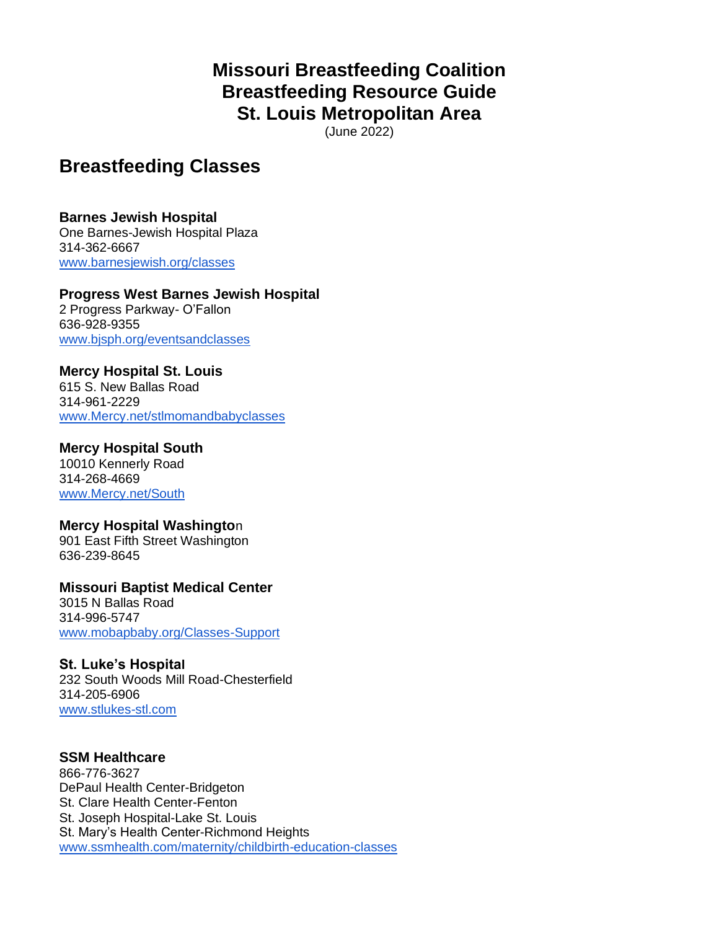# **Missouri Breastfeeding Coalition Breastfeeding Resource Guide St. Louis Metropolitan Area**

(June 2022)

# **Breastfeeding Classes**

### **Barnes Jewish Hospital**

One Barnes-Jewish Hospital Plaza 314-362-6667 [www.barnesjewish.org/classes](http://www.barnesjewish.org/classes)

#### **Progress West Barnes Jewish Hospital** 2 Progress Parkway- O'Fallon

636-928-9355 [www.bjsph.org/eventsandclasses](http://www.bjsph.org/eventsandclasses)

# **Mercy Hospital St. Louis**

615 S. New Ballas Road 314-961-2229 [www.Mercy.net/stlmomandbabyclasses](http://www.mercy.net/stlmomandbabyclasses)

# **Mercy Hospital South**

10010 Kennerly Road 314-268-4669 [www.Mercy.net/South](http://www.mercy.net/South)

# **Mercy Hospital Washingto**n

901 East Fifth Street Washington 636-239-8645

#### **Missouri Baptist Medical Center** 3015 N Ballas Road 314-996-5747 [www.mobapbaby.org/Classes-Support](http://www.mobapbaby.org/Classes-Support)

# **St. Luke's Hospital**

232 South Woods Mill Road-Chesterfield 314-205-6906 [www.stlukes-stl.com](http://www.stlukes-stl.com/) 

# **SSM Healthcare**

866-776-3627 DePaul Health Center-Bridgeton St. Clare Health Center-Fenton St. Joseph Hospital-Lake St. Louis St. Mary's Health Center-Richmond Heights [www.ssmhealth.com/maternity/childbirth-education-classes](http://www.ssmhealth.com/maternity/childbirth-education-classes)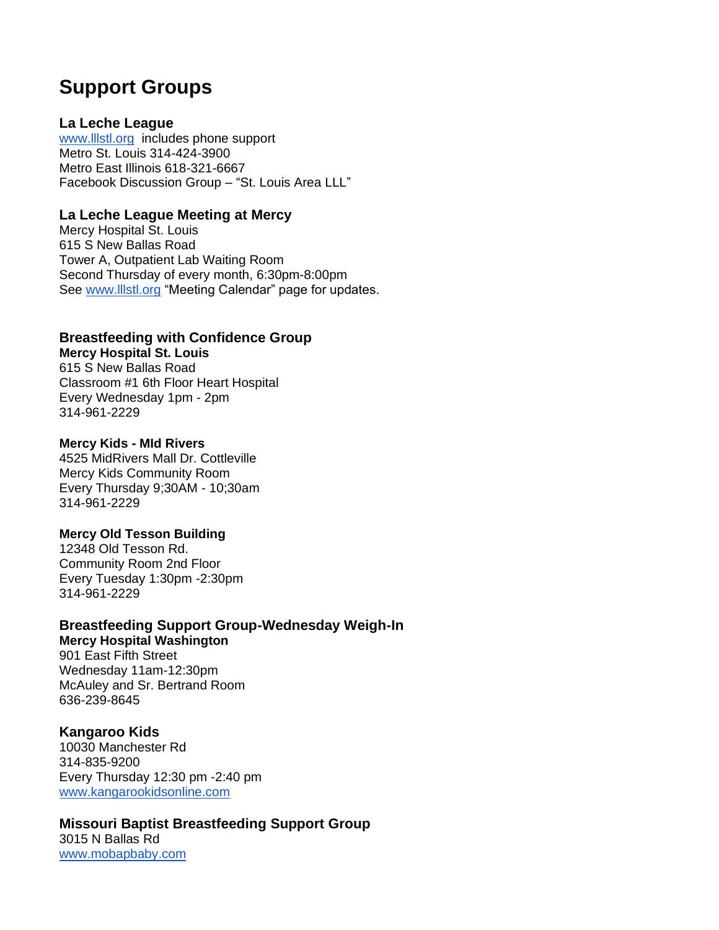# **Support Groups**

### **La Leche League**

[www.lllstl.org](http://www.lllstl.org/) includes phone support Metro St. Louis 314-424-3900 Metro East Illinois 618-321-6667 Facebook Discussion Group – "St. Louis Area LLL"

### **La Leche League Meeting at Mercy**

Mercy Hospital St. Louis 615 S New Ballas Road Tower A, Outpatient Lab Waiting Room Second Thursday of every month, 6:30pm-8:00pm See [www.lllstl.org](http://www.lllstl.org/) "Meeting Calendar" page for updates.

# **Breastfeeding with Confidence Group**

### **Mercy Hospital St. Louis**

615 S New Ballas Road Classroom #1 6th Floor Heart Hospital Every Wednesday 1pm - 2pm 314-961-2229

#### **Mercy Kids - MId Rivers**

4525 MidRivers Mall Dr. Cottleville Mercy Kids Community Room Every Thursday 9;30AM - 10;30am 314-961-2229

#### **Mercy Old Tesson Building**

12348 Old Tesson Rd. Community Room 2nd Floor Every Tuesday 1:30pm -2:30pm 314-961-2229

#### **Breastfeeding Support Group-Wednesday Weigh-In Mercy Hospital Washington**

901 East Fifth Street Wednesday 11am-12:30pm McAuley and Sr. Bertrand Room 636-239-8645

# **Kangaroo Kids**

10030 Manchester Rd 314-835-9200 Every Thursday 12:30 pm -2:40 pm [www.kangarookidsonline.com](http://www.kangarookidsonline.com/) 

# **Missouri Baptist Breastfeeding Support Group**

3015 N Ballas Rd [www.mobapbaby.com](http://www.mobapbaby.com/)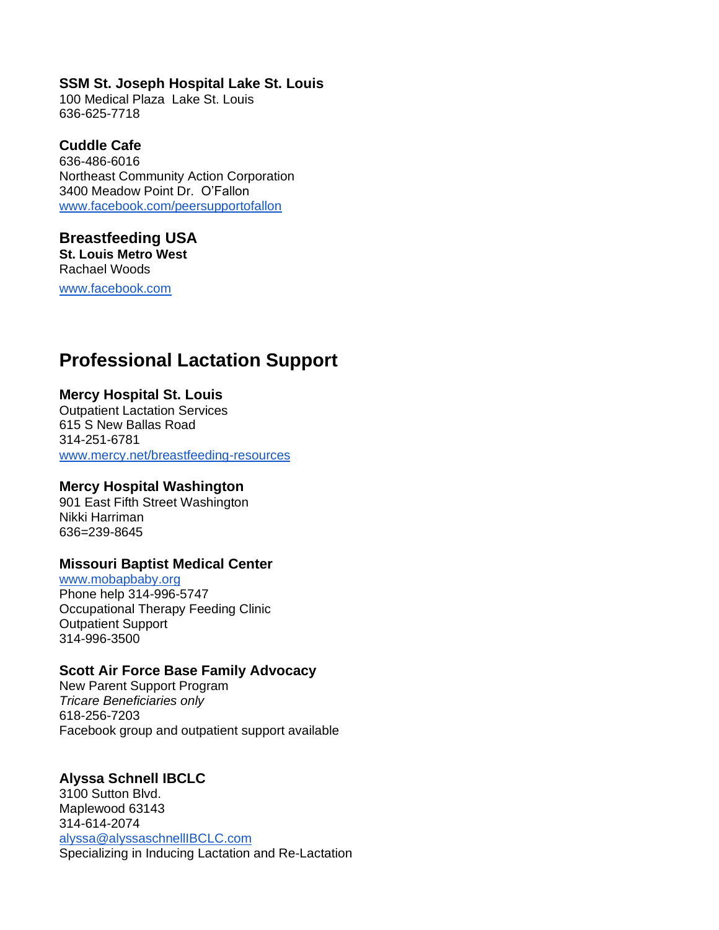### **SSM St. Joseph Hospital Lake St. Louis**

100 Medical Plaza Lake St. Louis 636-625-7718

# **Cuddle Cafe**

636-486-6016 Northeast Community Action Corporation 3400 Meadow Point Dr. O'Fallon [www.facebook.com/peersupportofallon](http://www.facebook.com/peersupportofallon)

#### **Breastfeeding USA St. Louis Metro West** Rachael Woods

[www.facebook.com](http://www.facebook.com/bfusarachaelwoods)

# **Professional Lactation Support**

# **Mercy Hospital St. Louis**

Outpatient Lactation Services 615 S New Ballas Road 314-251-6781 [www.mercy.net/breastfeeding-resources](http://www.mercy.net/breastfeeding-resources)

# **Mercy Hospital Washington**

901 East Fifth Street Washington Nikki Harriman 636=239-8645

# **Missouri Baptist Medical Center**

[www.mobapbaby.org](http://www.mobapbaby.org/) Phone help 314-996-5747 Occupational Therapy Feeding Clinic Outpatient Support 314-996-3500

# **Scott Air Force Base Family Advocacy**

New Parent Support Program *Tricare Beneficiaries only* 618-256-7203 Facebook group and outpatient support available

# **Alyssa Schnell IBCLC**

3100 Sutton Blvd. Maplewood 63143 314-614-2074 [alyssa@alyssaschnellIBCLC.com](mailto:alyssa@alyssaschnellIBCLC.com) Specializing in Inducing Lactation and Re-Lactation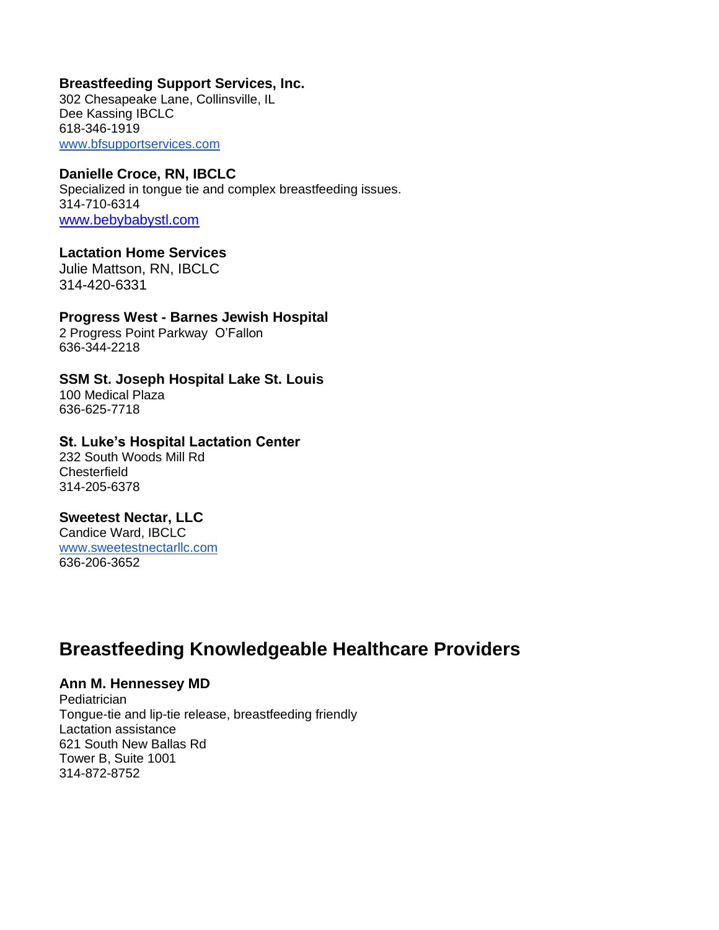#### **Breastfeeding Support Services, Inc.**

302 Chesapeake Lane, Collinsville, IL Dee Kassing IBCLC 618-346-1919 [www.bfsupportservices.com](http://www.bfsupportservices.com/)

### **Danielle Croce, RN, IBCLC**

Specialized in tongue tie and complex breastfeeding issues. 314-710-6314 [www.bebybabystl.com](file:///C:/Users/dheff/Documents/MO%20Bfdg%20Coalition%20Minutes/www.bebybabystl.com)

#### **Lactation Home Services**

Julie Mattson, RN, IBCLC 314-420-6331

# **Progress West - Barnes Jewish Hospital**

2 Progress Point Parkway O'Fallon 636-344-2218

# **SSM St. Joseph Hospital Lake St. Louis**

100 Medical Plaza 636-625-7718

### **St. Luke's Hospital Lactation Center**

232 South Woods Mill Rd **Chesterfield** 314-205-6378

#### **Sweetest Nectar, LLC**

Candice Ward, IBCLC [www.sweetestnectarllc.com](http://www.sweetestnectarllc.com/) 636-206-3652

# **Breastfeeding Knowledgeable Healthcare Providers**

#### **Ann M. Hennessey MD**

**Pediatrician** Tongue-tie and lip-tie release, breastfeeding friendly Lactation assistance 621 South New Ballas Rd Tower B, Suite 1001 314-872-8752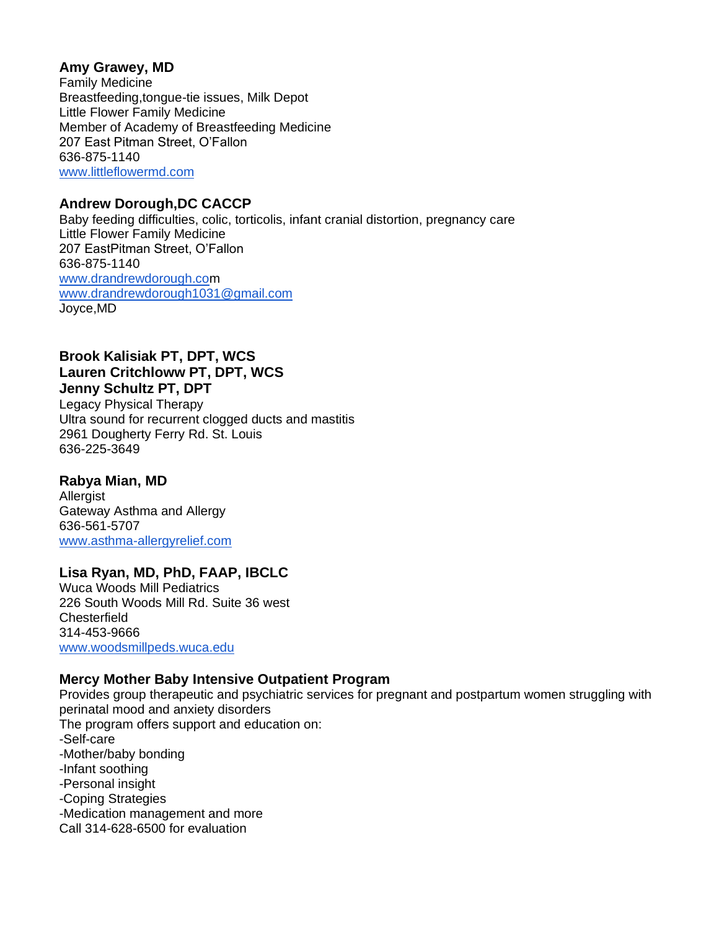# **Amy Grawey, MD**

Family Medicine Breastfeeding,tongue-tie issues, Milk Depot Little Flower Family Medicine Member of Academy of Breastfeeding Medicine 207 East Pitman Street, O'Fallon 636-875-1140 [www.littleflowermd.com](http://www.littleflowermd.com/)

# **Andrew Dorough,DC CACCP**

Baby feeding difficulties, colic, torticolis, infant cranial distortion, pregnancy care Little Flower Family Medicine 207 EastPitman Street, O'Fallon 636-875-1140 [www.drandrewdorough.com](http://www.drandrewdorough.com/) [www.drandrewdorough1031@gmail.com](http://www.drandrewdorough1031@gmail.com) Joyce,MD

### **Brook Kalisiak PT, DPT, WCS Lauren Critchloww PT, DPT, WCS Jenny Schultz PT, DPT**

Legacy Physical Therapy Ultra sound for recurrent clogged ducts and mastitis 2961 Dougherty Ferry Rd. St. Louis 636-225-3649

#### **Rabya Mian, MD Allergist** Gateway Asthma and Allergy 636-561-5707 [www.asthma-allergyrelief.com](http://www.asthma-allergyrelief.com/)

# **Lisa Ryan, MD, PhD, FAAP, IBCLC**

Wuca Woods Mill Pediatrics 226 South Woods Mill Rd. Suite 36 west Chesterfield 314-453-9666 [www.woodsmillpeds.wuca.edu](http://www.woodsmillpeds.wuca.edu/)

# **Mercy Mother Baby Intensive Outpatient Program**

Provides group therapeutic and psychiatric services for pregnant and postpartum women struggling with perinatal mood and anxiety disorders The program offers support and education on: -Self-care -Mother/baby bonding -Infant soothing -Personal insight -Coping Strategies -Medication management and more Call 314-628-6500 for evaluation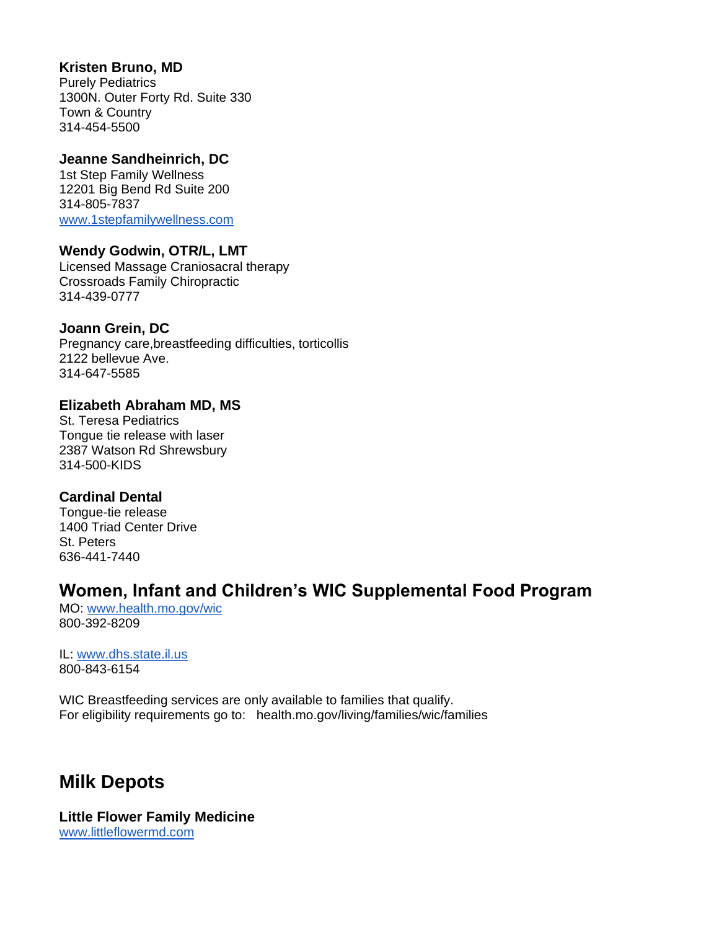### **Kristen Bruno, MD**

Purely Pediatrics 1300N. Outer Forty Rd. Suite 330 Town & Country 314-454-5500

### **Jeanne Sandheinrich, DC**

1st Step Family Wellness 12201 Big Bend Rd Suite 200 314-805-7837 [www.1stepfamilywellness.com](http://www.1stepfamilywellness.com/)

# **Wendy Godwin, OTR/L, LMT**

Licensed Massage Craniosacral therapy Crossroads Family Chiropractic 314-439-0777

# **Joann Grein, DC**

Pregnancy care,breastfeeding difficulties, torticollis 2122 bellevue Ave. 314-647-5585

### **Elizabeth Abraham MD, MS**

St. Teresa Pediatrics Tongue tie release with laser 2387 Watson Rd Shrewsbury 314-500-KIDS

# **Cardinal Dental**

Tongue-tie release 1400 Triad Center Drive St. Peters 636-441-7440

# **Women, Infant and Children's WIC Supplemental Food Program**

MO: [www.health.mo.gov/wic](http://www.health.mo.gov/wic) 800-392-8209

IL: [www.dhs.state.il.us](http://www.dhs.state.il.us/) 800-843-6154

WIC Breastfeeding services are only available to families that qualify. For eligibility requirements go to: health.mo.gov/living/families/wic/families

# **Milk Depots**

**Little Flower Family Medicine** [www.littleflowermd.com](http://www.littleflowermd.com/)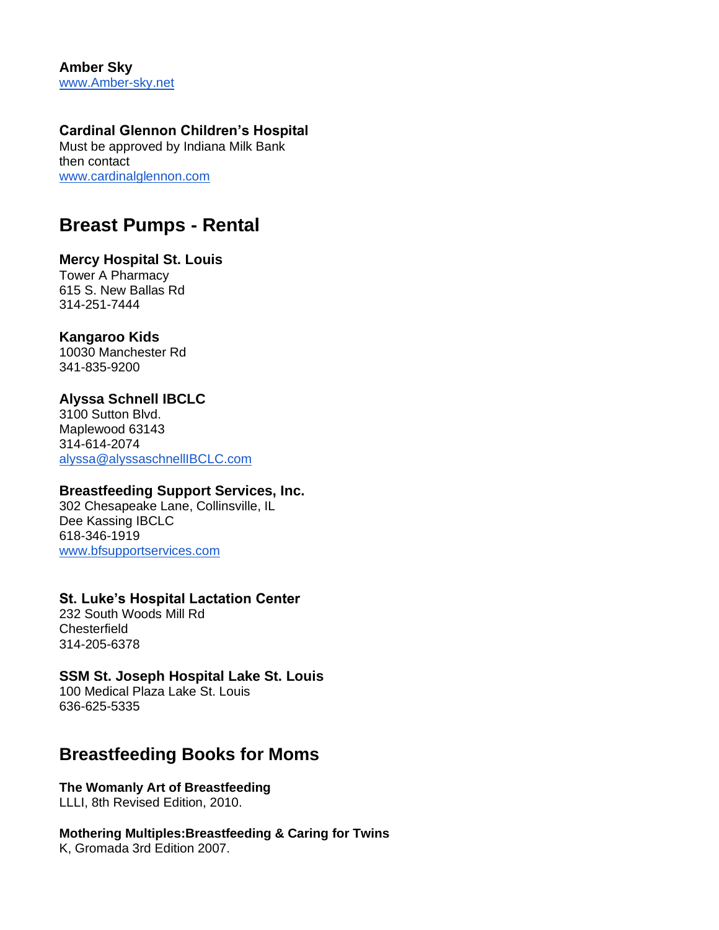**Amber Sky** [www.Amber-sky.net](http://www.amber-sky.net/) 

### **Cardinal Glennon Children's Hospital**

Must be approved by Indiana Milk Bank then contact [www.cardinalglennon.com](http://www.cardinalglennon.com/)

# **Breast Pumps - Rental**

#### **Mercy Hospital St. Louis**

Tower A Pharmacy 615 S. New Ballas Rd 314-251-7444

# **Kangaroo Kids**

10030 Manchester Rd 341-835-9200

# **Alyssa Schnell IBCLC**

3100 Sutton Blvd. Maplewood 63143 314-614-2074 [alyssa@alyssaschnellIBCLC.com](mailto:alyssa@alyssaschnellIBCLC.com)

# **Breastfeeding Support Services, Inc.**

302 Chesapeake Lane, Collinsville, IL Dee Kassing IBCLC 618-346-1919 [www.bfsupportservices.com](http://www.bfsupportservices.com/)

# **St. Luke's Hospital Lactation Center**

232 South Woods Mill Rd **Chesterfield** 314-205-6378

# **SSM St. Joseph Hospital Lake St. Louis**

100 Medical Plaza Lake St. Louis 636-625-5335

# **Breastfeeding Books for Moms**

**The Womanly Art of Breastfeeding** LLLI, 8th Revised Edition, 2010.

# **Mothering Multiples:Breastfeeding & Caring for Twins**

K, Gromada 3rd Edition 2007.